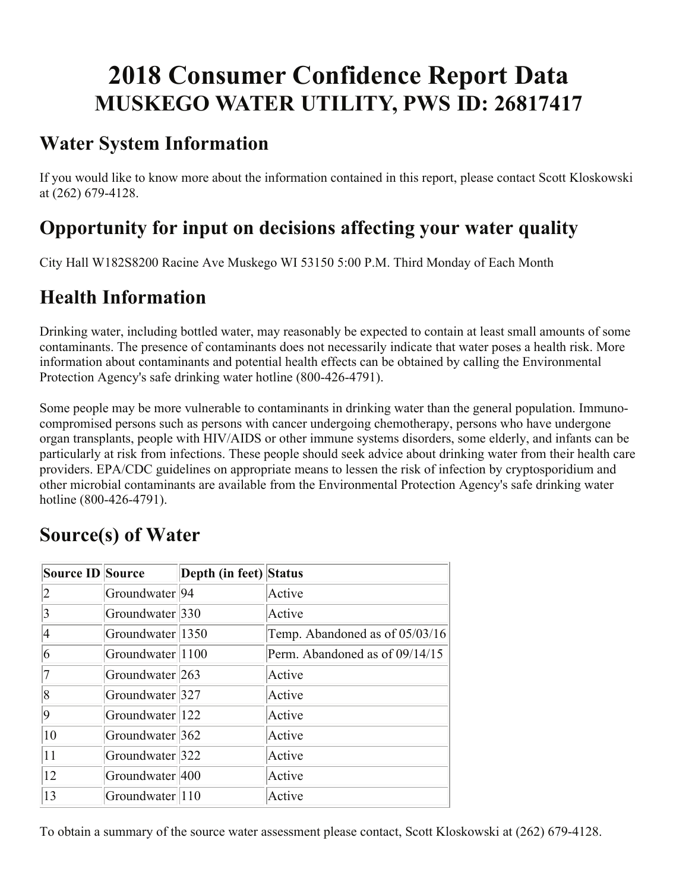# **2018 Consumer Confidence Report Data MUSKEGO WATER UTILITY, PWS ID: 26817417**

### **Water System Information**

If you would like to know more about the information contained in this report, please contact Scott Kloskowski at (262) 679-4128.

### **Opportunity for input on decisions affecting your water quality**

City Hall W182S8200 Racine Ave Muskego WI 53150 5:00 P.M. Third Monday of Each Month

# **Health Information**

Drinking water, including bottled water, may reasonably be expected to contain at least small amounts of some contaminants. The presence of contaminants does not necessarily indicate that water poses a health risk. More information about contaminants and potential health effects can be obtained by calling the Environmental Protection Agency's safe drinking water hotline (800-426-4791).

Some people may be more vulnerable to contaminants in drinking water than the general population. Immunocompromised persons such as persons with cancer undergoing chemotherapy, persons who have undergone organ transplants, people with HIV/AIDS or other immune systems disorders, some elderly, and infants can be particularly at risk from infections. These people should seek advice about drinking water from their health care providers. EPA/CDC guidelines on appropriate means to lessen the risk of infection by cryptosporidium and other microbial contaminants are available from the Environmental Protection Agency's safe drinking water hotline (800-426-4791).

| <b>Source ID Source</b> |                            | Depth (in feet) Status |                                  |
|-------------------------|----------------------------|------------------------|----------------------------------|
|                         | Groundwater <sup>194</sup> |                        | Active                           |
| 3                       | Groundwater 330            |                        | Active                           |
| 4                       | Groundwater 1350           |                        | Temp. Abandoned as of $05/03/16$ |
| 6                       | Groundwater 1100           |                        | Perm. Abandoned as of 09/14/15   |
|                         | Groundwater 263            |                        | Active                           |
| 8                       | Groundwater 327            |                        | Active                           |
| 9                       | Groundwater 122            |                        | Active                           |
| 10                      | Groundwater 362            |                        | Active                           |
| 11                      | Groundwater 322            |                        | Active                           |
| 12                      | Groundwater 400            |                        | Active                           |
| 13                      | Groundwater 110            |                        | Active                           |

### **Source(s) of Water**

To obtain a summary of the source water assessment please contact, Scott Kloskowski at (262) 679-4128.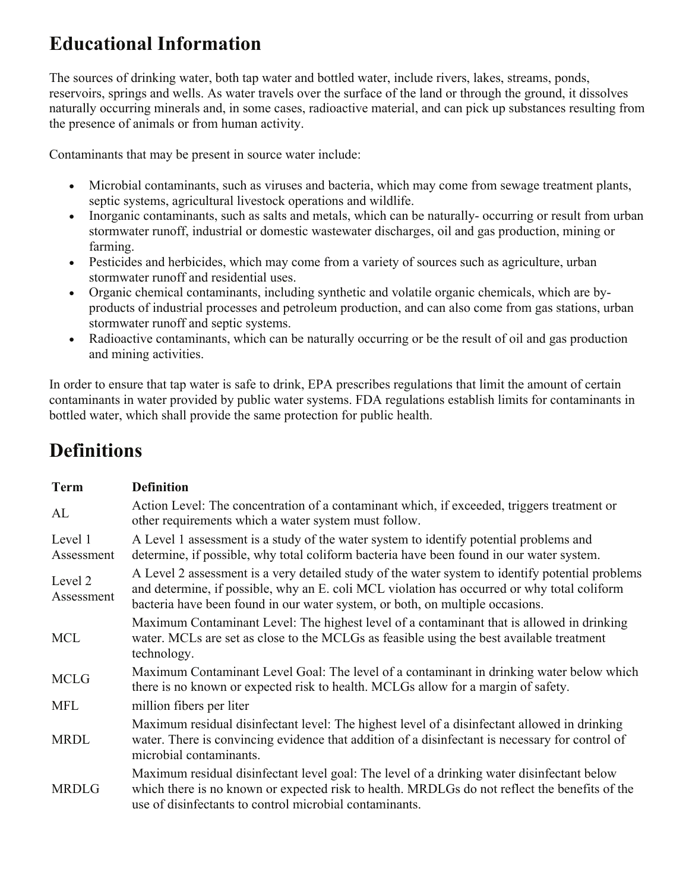# **Educational Information**

The sources of drinking water, both tap water and bottled water, include rivers, lakes, streams, ponds, reservoirs, springs and wells. As water travels over the surface of the land or through the ground, it dissolves naturally occurring minerals and, in some cases, radioactive material, and can pick up substances resulting from the presence of animals or from human activity.

Contaminants that may be present in source water include:

- Microbial contaminants, such as viruses and bacteria, which may come from sewage treatment plants, septic systems, agricultural livestock operations and wildlife.
- Inorganic contaminants, such as salts and metals, which can be naturally-occurring or result from urban stormwater runoff, industrial or domestic wastewater discharges, oil and gas production, mining or farming.
- Pesticides and herbicides, which may come from a variety of sources such as agriculture, urban stormwater runoff and residential uses.
- Organic chemical contaminants, including synthetic and volatile organic chemicals, which are byproducts of industrial processes and petroleum production, and can also come from gas stations, urban stormwater runoff and septic systems.
- Radioactive contaminants, which can be naturally occurring or be the result of oil and gas production and mining activities.

In order to ensure that tap water is safe to drink, EPA prescribes regulations that limit the amount of certain contaminants in water provided by public water systems. FDA regulations establish limits for contaminants in bottled water, which shall provide the same protection for public health.

# **Definitions**

| <b>Term</b>           | <b>Definition</b>                                                                                                                                                                                                                                                                |
|-----------------------|----------------------------------------------------------------------------------------------------------------------------------------------------------------------------------------------------------------------------------------------------------------------------------|
| AL                    | Action Level: The concentration of a contaminant which, if exceeded, triggers treatment or<br>other requirements which a water system must follow.                                                                                                                               |
| Level 1<br>Assessment | A Level 1 assessment is a study of the water system to identify potential problems and<br>determine, if possible, why total coliform bacteria have been found in our water system.                                                                                               |
| Level 2<br>Assessment | A Level 2 assessment is a very detailed study of the water system to identify potential problems<br>and determine, if possible, why an E. coli MCL violation has occurred or why total coliform<br>bacteria have been found in our water system, or both, on multiple occasions. |
| <b>MCL</b>            | Maximum Contaminant Level: The highest level of a contaminant that is allowed in drinking<br>water. MCLs are set as close to the MCLGs as feasible using the best available treatment<br>technology.                                                                             |
| <b>MCLG</b>           | Maximum Contaminant Level Goal: The level of a contaminant in drinking water below which<br>there is no known or expected risk to health. MCLGs allow for a margin of safety.                                                                                                    |
| <b>MFL</b>            | million fibers per liter                                                                                                                                                                                                                                                         |
| <b>MRDL</b>           | Maximum residual disinfectant level: The highest level of a disinfectant allowed in drinking<br>water. There is convincing evidence that addition of a disinfectant is necessary for control of<br>microbial contaminants.                                                       |
| <b>MRDLG</b>          | Maximum residual disinfectant level goal: The level of a drinking water disinfectant below<br>which there is no known or expected risk to health. MRDLGs do not reflect the benefits of the<br>use of disinfectants to control microbial contaminants.                           |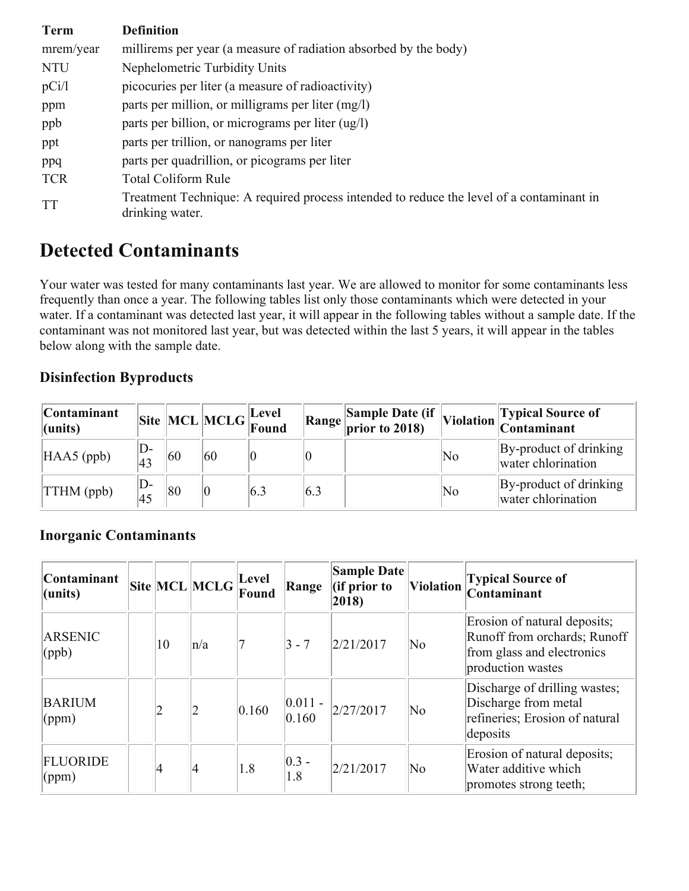| <b>Term</b> | <b>Definition</b>                                                                                           |
|-------------|-------------------------------------------------------------------------------------------------------------|
| mrem/year   | millirems per year (a measure of radiation absorbed by the body)                                            |
| <b>NTU</b>  | Nephelometric Turbidity Units                                                                               |
| pCi/l       | picocuries per liter (a measure of radioactivity)                                                           |
| ppm         | parts per million, or milligrams per liter (mg/l)                                                           |
| ppb         | parts per billion, or micrograms per liter (ug/l)                                                           |
| ppt         | parts per trillion, or nanograms per liter                                                                  |
| ppq         | parts per quadrillion, or picograms per liter                                                               |
| <b>TCR</b>  | Total Coliform Rule                                                                                         |
| <b>TT</b>   | Treatment Technique: A required process intended to reduce the level of a contaminant in<br>drinking water. |

### **Detected Contaminants**

Your water was tested for many contaminants last year. We are allowed to monitor for some contaminants less frequently than once a year. The following tables list only those contaminants which were detected in your water. If a contaminant was detected last year, it will appear in the following tables without a sample date. If the contaminant was not monitored last year, but was detected within the last 5 years, it will appear in the tables below along with the sample date.

### **Disinfection Byproducts**

| <b>Contaminant</b><br>$l$ (units) |              |    | Site MCL MCLG Eevel |     |     | $\fbox{Range} \begin{bmatrix} \text{Sample Date (if} \\ \text{prior to 2018)} \end{bmatrix},$ |    | Violation Typical Source of<br>Contaminant   |
|-----------------------------------|--------------|----|---------------------|-----|-----|-----------------------------------------------------------------------------------------------|----|----------------------------------------------|
| $HAAS$ (ppb)                      | D-<br>43     | 60 | 60                  |     |     |                                                                                               | No | By-product of drinking<br>water chlorination |
| $\ THM$ (ppb)                     | $\mathsf{D}$ | 80 |                     | 6.3 | 6.3 |                                                                                               | No | By-product of drinking<br>water chlorination |

### **Inorganic Contaminants**

| <b>Contaminant</b><br>$l$ (units)  |        | Site MCL MCLG | Level<br>Found | Range                | <b>Sample Date</b><br>(if prior to<br>2018) | <b>Violation</b> | <b>Typical Source of</b><br>Contaminant                                                                         |
|------------------------------------|--------|---------------|----------------|----------------------|---------------------------------------------|------------------|-----------------------------------------------------------------------------------------------------------------|
| ARSENIC<br>$\langle (ppb) \rangle$ | 10     | $\ln/a$       |                | $ 3 - 7 $            | 2/21/2017                                   | No               | Erosion of natural deposits;<br>Runoff from orchards; Runoff<br>from glass and electronics<br>production wastes |
| <b>BARIUM</b><br>(ppm)             | $ 2\>$ |               | 0.160          | $ 0.011 -$<br> 0.160 | 2/27/2017                                   | No               | Discharge of drilling wastes;<br>Discharge from metal<br>refineries; Erosion of natural<br>deposits             |
| <b>FLUORIDE</b><br>(ppm)           | 4      | $\vert 4$     | 1.8            | $ 0.3 -$<br>1.8      | 2/21/2017                                   | No               | Erosion of natural deposits;<br>Water additive which<br>promotes strong teeth;                                  |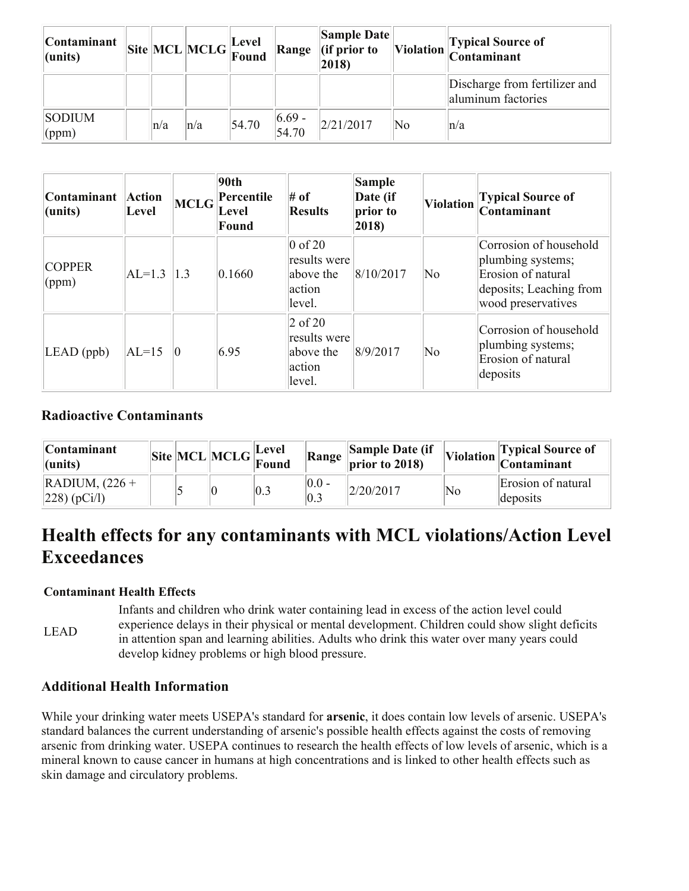| <b>Contaminant</b><br>$l$ (units) |         | $\boxed{\text{Site}}\boxed{\text{MCL}}\boxed{\text{MCLG}}\boxed{\text{Level}}\text{Found}}$ |       | Range              | <b>Sample Date</b><br>$\ $ (if prior to<br>2018) |    | Violation Typical Source of<br>Contaminant          |
|-----------------------------------|---------|---------------------------------------------------------------------------------------------|-------|--------------------|--------------------------------------------------|----|-----------------------------------------------------|
|                                   |         |                                                                                             |       |                    |                                                  |    | Discharge from fertilizer and<br>aluminum factories |
| <b>SODIUM</b><br>(ppm)            | $\ln/a$ | $\ln/a$                                                                                     | 54.70 | $ 6.69 -$<br>54.70 | 2/21/2017                                        | No | ∣n∕a                                                |

| Contaminant<br>(units) | <b>Action</b><br>Level | <b>MCLG</b> | 90th<br>Percentile<br>Level<br>Found | $#$ of<br><b>Results</b>                                   | Sample<br>Date (if<br>prior to<br>$ 2018\rangle$ | <b>Violation</b> | <b>Typical Source of</b><br>Contaminant                                                                            |
|------------------------|------------------------|-------------|--------------------------------------|------------------------------------------------------------|--------------------------------------------------|------------------|--------------------------------------------------------------------------------------------------------------------|
| <b>COPPER</b><br>(ppm) | $ AL=1.3 $             | 1.3         | 0.1660                               | $0$ of 20<br>results were<br>above the<br>action<br>level. | 8/10/2017                                        | No               | Corrosion of household<br>plumbing systems;<br>Erosion of natural<br>deposits; Leaching from<br>wood preservatives |
| $LEAD$ (ppb)           | $ AL=15$               | 0           | 6.95                                 | $2$ of 20<br>results were<br>above the<br>action<br>level. | 8/9/2017                                         | No               | Corrosion of household<br>plumbing systems;<br>Erosion of natural<br>deposits                                      |

#### **Radioactive Contaminants**

| <b>Contaminant</b><br>$ $ (units)                      |  | $\left\Vert \text{Site} \right\Vert \text{MCL} \left\Vert \text{MCLG} \right\Vert_{\text{Found}}^{ \text{Level}}$ |    | Range            | Sample Date (if<br>$\vert$ prior to 2018) |    | Violation Typical Source of    |
|--------------------------------------------------------|--|-------------------------------------------------------------------------------------------------------------------|----|------------------|-------------------------------------------|----|--------------------------------|
| $\overline{\text{RADIUM}}$ , (226 +<br>$ 228)$ (pCi/l) |  | $ 0\rangle$                                                                                                       | :Ս | $ 0.0 -$<br> 0.3 | 2/20/2017                                 | No | Erosion of natural<br>deposits |

### **Health effects for any contaminants with MCL violations/Action Level Exceedances**

#### **Contaminant Health Effects**

LEAD Infants and children who drink water containing lead in excess of the action level could experience delays in their physical or mental development. Children could show slight deficits in attention span and learning abilities. Adults who drink this water over many years could develop kidney problems or high blood pressure.

### **Additional Health Information**

While your drinking water meets USEPA's standard for **arsenic**, it does contain low levels of arsenic. USEPA's standard balances the current understanding of arsenic's possible health effects against the costs of removing arsenic from drinking water. USEPA continues to research the health effects of low levels of arsenic, which is a mineral known to cause cancer in humans at high concentrations and is linked to other health effects such as skin damage and circulatory problems.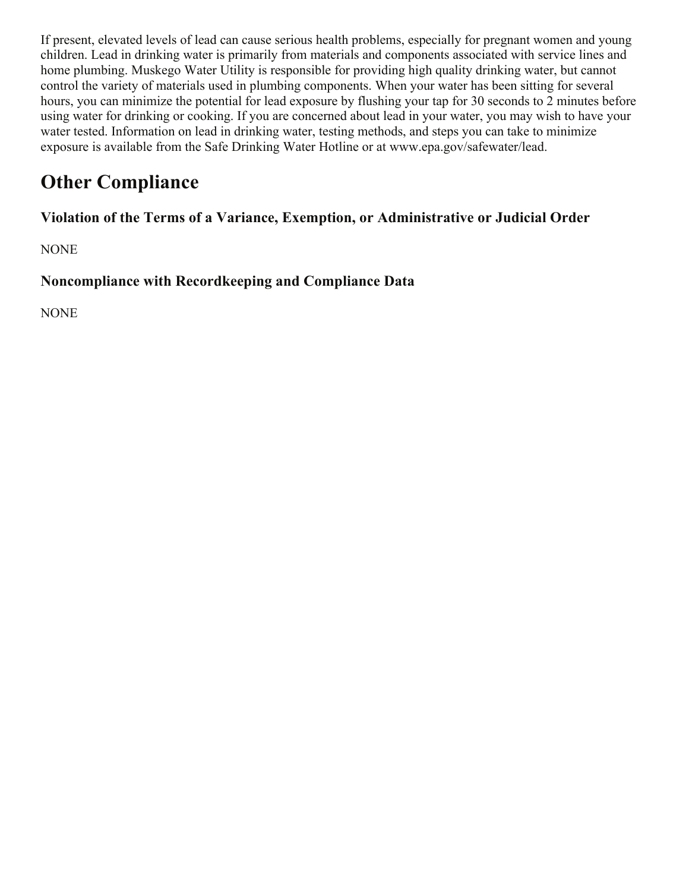If present, elevated levels of lead can cause serious health problems, especially for pregnant women and young children. Lead in drinking water is primarily from materials and components associated with service lines and home plumbing. Muskego Water Utility is responsible for providing high quality drinking water, but cannot control the variety of materials used in plumbing components. When your water has been sitting for several hours, you can minimize the potential for lead exposure by flushing your tap for 30 seconds to 2 minutes before using water for drinking or cooking. If you are concerned about lead in your water, you may wish to have your water tested. Information on lead in drinking water, testing methods, and steps you can take to minimize exposure is available from the Safe Drinking Water Hotline or at www.epa.gov/safewater/lead.

# **Other Compliance**

**Violation of the Terms of a Variance, Exemption, or Administrative or Judicial Order**

NONE

**Noncompliance with Recordkeeping and Compliance Data**

NONE